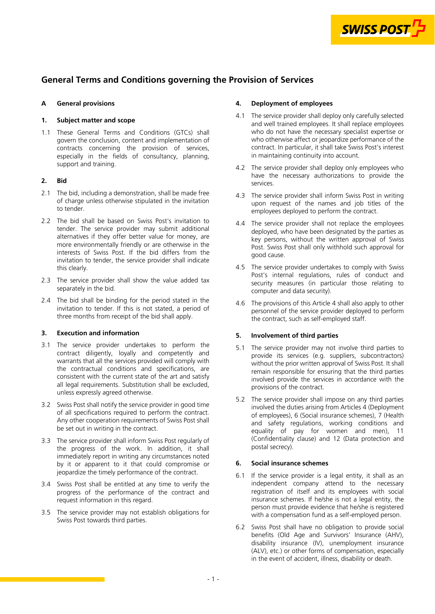

# **General Terms and Conditions governing the Provision of Services**

## **A General provisions**

## **1. Subject matter and scope**

1.1 These General Terms and Conditions (GTCs) shall govern the conclusion, content and implementation of contracts concerning the provision of services, especially in the fields of consultancy, planning, support and training.

## **2. Bid**

- 2.1 The bid, including a demonstration, shall be made free of charge unless otherwise stipulated in the invitation to tender.
- 2.2 The bid shall be based on Swiss Post's invitation to tender. The service provider may submit additional alternatives if they offer better value for money, are more environmentally friendly or are otherwise in the interests of Swiss Post. If the bid differs from the invitation to tender, the service provider shall indicate this clearly.
- 2.3 The service provider shall show the value added tax separately in the bid.
- 2.4 The bid shall be binding for the period stated in the invitation to tender. If this is not stated, a period of three months from receipt of the bid shall apply.

## **3. Execution and information**

- 3.1 The service provider undertakes to perform the contract diligently, loyally and competently and warrants that all the services provided will comply with the contractual conditions and specifications, are consistent with the current state of the art and satisfy all legal requirements. Substitution shall be excluded, unless expressly agreed otherwise.
- 3.2 Swiss Post shall notify the service provider in good time of all specifications required to perform the contract. Any other cooperation requirements of Swiss Post shall be set out in writing in the contract.
- 3.3 The service provider shall inform Swiss Post regularly of the progress of the work. In addition, it shall immediately report in writing any circumstances noted by it or apparent to it that could compromise or jeopardize the timely performance of the contract.
- 3.4 Swiss Post shall be entitled at any time to verify the progress of the performance of the contract and request information in this regard.
- 3.5 The service provider may not establish obligations for Swiss Post towards third parties.

# **4. Deployment of employees**

- 4.1 The service provider shall deploy only carefully selected and well trained employees. It shall replace employees who do not have the necessary specialist expertise or who otherwise affect or jeopardize performance of the contract. In particular, it shall take Swiss Post's interest in maintaining continuity into account.
- 4.2 The service provider shall deploy only employees who have the necessary authorizations to provide the services.
- 4.3 The service provider shall inform Swiss Post in writing upon request of the names and job titles of the employees deployed to perform the contract.
- 4.4 The service provider shall not replace the employees deployed, who have been designated by the parties as key persons, without the written approval of Swiss Post. Swiss Post shall only withhold such approval for good cause.
- 4.5 The service provider undertakes to comply with Swiss Post's internal regulations, rules of conduct and security measures (in particular those relating to computer and data security).
- 4.6 The provisions of this Article 4 shall also apply to other personnel of the service provider deployed to perform the contract, such as self-employed staff.

# **5. Involvement of third parties**

- 5.1 The service provider may not involve third parties to provide its services (e.g. suppliers, subcontractors) without the prior written approval of Swiss Post. It shall remain responsible for ensuring that the third parties involved provide the services in accordance with the provisions of the contract.
- 5.2 The service provider shall impose on any third parties involved the duties arising from Articles 4 (Deployment of employees), 6 (Social insurance schemes), [7 \(Health](#page-1-0)  [and safety regulations, working conditions and](#page-1-0)  [equality of pay for women and men\)](#page-1-0), [11](#page-2-0) [\(Confidentiality clause\) and 12 \(Data protection and](#page-2-0)  postal secrecy).

# **6. Social insurance schemes**

- 6.1 If the service provider is a legal entity, it shall as an independent company attend to the necessary registration of itself and its employees with social insurance schemes. If he/she is not a legal entity, the person must provide evidence that he/she is registered with a compensation fund as a self-employed person.
- 6.2 Swiss Post shall have no obligation to provide social benefits (Old Age and Survivors' Insurance (AHV), disability insurance (IV), unemployment insurance (ALV), etc.) or other forms of compensation, especially in the event of accident, illness, disability or death.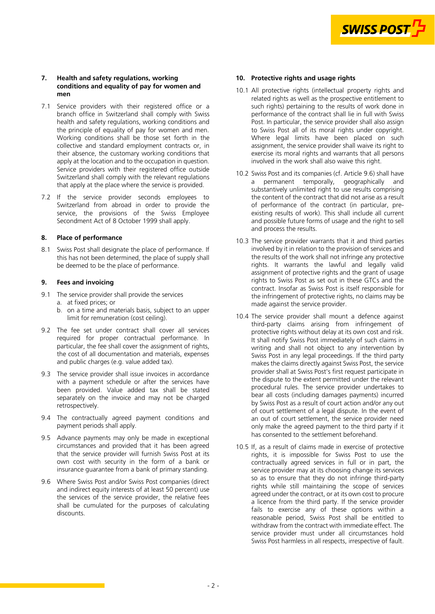

#### <span id="page-1-0"></span>**7. Health and safety regulations, working conditions and equality of pay for women and men**

- 7.1 Service providers with their registered office or a branch office in Switzerland shall comply with Swiss health and safety regulations, working conditions and the principle of equality of pay for women and men. Working conditions shall be those set forth in the collective and standard employment contracts or, in their absence, the customary working conditions that apply at the location and to the occupation in question. Service providers with their registered office outside Switzerland shall comply with the relevant regulations that apply at the place where the service is provided.
- 7.2 If the service provider seconds employees to Switzerland from abroad in order to provide the service, the provisions of the Swiss Employee Secondment Act of 8 October 1999 shall apply.

## **8. Place of performance**

8.1 Swiss Post shall designate the place of performance. If this has not been determined, the place of supply shall be deemed to be the place of performance.

## **9. Fees and invoicing**

- 9.1 The service provider shall provide the services a. at fixed prices; or
	- b. on a time and materials basis, subject to an upper limit for remuneration (cost ceiling).
- 9.2 The fee set under contract shall cover all services required for proper contractual performance. In particular, the fee shall cover the assignment of rights, the cost of all documentation and materials, expenses and public charges (e.g. value added tax).
- 9.3 The service provider shall issue invoices in accordance with a payment schedule or after the services have been provided. Value added tax shall be stated separately on the invoice and may not be charged retrospectively.
- 9.4 The contractually agreed payment conditions and payment periods shall apply.
- 9.5 Advance payments may only be made in exceptional circumstances and provided that it has been agreed that the service provider will furnish Swiss Post at its own cost with security in the form of a bank or insurance guarantee from a bank of primary standing.
- 9.6 Where Swiss Post and/or Swiss Post companies (direct and indirect equity interests of at least 50 percent) use the services of the service provider, the relative fees shall be cumulated for the purposes of calculating discounts.

## **10. Protective rights and usage rights**

- 10.1 All protective rights (intellectual property rights and related rights as well as the prospective entitlement to such rights) pertaining to the results of work done in performance of the contract shall lie in full with Swiss Post. In particular, the service provider shall also assign to Swiss Post all of its moral rights under copyright. Where legal limits have been placed on such assignment, the service provider shall waive its right to exercise its moral rights and warrants that all persons involved in the work shall also waive this right.
- 10.2 Swiss Post and its companies (cf. Article 9.6) shall have a permanent temporally, geographically and substantively unlimited right to use results comprising the content of the contract that did not arise as a result of performance of the contract (in particular, preexisting results of work). This shall include all current and possible future forms of usage and the right to sell and process the results.
- 10.3 The service provider warrants that it and third parties involved by it in relation to the provision of services and the results of the work shall not infringe any protective rights. It warrants the lawful and legally valid assignment of protective rights and the grant of usage rights to Swiss Post as set out in these GTCs and the contract. Insofar as Swiss Post is itself responsible for the infringement of protective rights, no claims may be made against the service provider.
- 10.4 The service provider shall mount a defence against third-party claims arising from infringement of protective rights without delay at its own cost and risk. It shall notify Swiss Post immediately of such claims in writing and shall not object to any intervention by Swiss Post in any legal proceedings. If the third party makes the claims directly against Swiss Post, the service provider shall at Swiss Post's first request participate in the dispute to the extent permitted under the relevant procedural rules. The service provider undertakes to bear all costs (including damages payments) incurred by Swiss Post as a result of court action and/or any out of court settlement of a legal dispute. In the event of an out of court settlement, the service provider need only make the agreed payment to the third party if it has consented to the settlement beforehand.
- 10.5 If, as a result of claims made in exercise of protective rights, it is impossible for Swiss Post to use the contractually agreed services in full or in part, the service provider may at its choosing change its services so as to ensure that they do not infringe third-party rights while still maintaining the scope of services agreed under the contract, or at its own cost to procure a licence from the third party. If the service provider fails to exercise any of these options within a reasonable period, Swiss Post shall be entitled to withdraw from the contract with immediate effect. The service provider must under all circumstances hold Swiss Post harmless in all respects, irrespective of fault.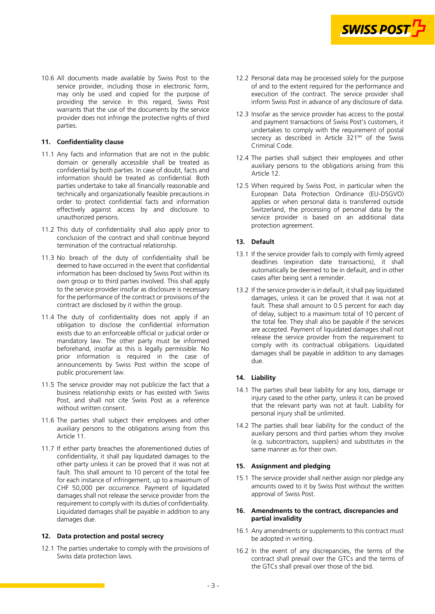

<span id="page-2-0"></span>10.6 All documents made available by Swiss Post to the service provider, including those in electronic form, may only be used and copied for the purpose of providing the service. In this regard, Swiss Post warrants that the use of the documents by the service provider does not infringe the protective rights of third parties.

## **11. Confidentiality clause**

- 11.1 Any facts and information that are not in the public domain or generally accessible shall be treated as confidential by both parties. In case of doubt, facts and information should be treated as confidential. Both parties undertake to take all financially reasonable and technically and organizationally feasible precautions in order to protect confidential facts and information effectively against access by and disclosure to unauthorized persons.
- 11.2 This duty of confidentiality shall also apply prior to conclusion of the contract and shall continue beyond termination of the contractual relationship.
- 11.3 No breach of the duty of confidentiality shall be deemed to have occurred in the event that confidential information has been disclosed by Swiss Post within its own group or to third parties involved. This shall apply to the service provider insofar as disclosure is necessary for the performance of the contract or provisions of the contract are disclosed by it within the group.
- 11.4 The duty of confidentiality does not apply if an obligation to disclose the confidential information exists due to an enforceable official or judicial order or mandatory law. The other party must be informed beforehand, insofar as this is legally permissible. No prior information is required in the case of announcements by Swiss Post within the scope of public procurement law.
- 11.5 The service provider may not publicize the fact that a business relationship exists or has existed with Swiss Post, and shall not cite Swiss Post as a reference without written consent.
- 11.6 The parties shall subject their employees and other auxiliary persons to the obligations arising from this Article 11.
- 11.7 If either party breaches the aforementioned duties of confidentiality, it shall pay liquidated damages to the other party unless it can be proved that it was not at fault. This shall amount to 10 percent of the total fee for each instance of infringement, up to a maximum of CHF 50,000 per occurrence. Payment of liquidated damages shall not release the service provider from the requirement to comply with its duties of confidentiality. Liquidated damages shall be payable in addition to any damages due.

## **12. Data protection and postal secrecy**

12.1 The parties undertake to comply with the provisions of Swiss data protection laws.

- 12.2 Personal data may be processed solely for the purpose of and to the extent required for the performance and execution of the contract. The service provider shall inform Swiss Post in advance of any disclosure of data.
- 12.3 Insofar as the service provider has access to the postal and payment transactions of Swiss Post's customers, it undertakes to comply with the requirement of postal secrecy as described in Article 321<sup>ter</sup> of the Swiss Criminal Code.
- 12.4 The parties shall subject their employees and other auxiliary persons to the obligations arising from this Article 12.
- 12.5 When required by Swiss Post, in particular when the European Data Protection Ordinance (EU-DSGVO) applies or when personal data is transferred outside Switzerland, the processing of personal data by the service provider is based on an additional data protection agreement.

## **13. Default**

- 13.1 If the service provider fails to comply with firmly agreed deadlines (expiration date transactions), it shall automatically be deemed to be in default, and in other cases after being sent a reminder.
- 13.2 If the service provider is in default, it shall pay liquidated damages, unless it can be proved that it was not at fault. These shall amount to 0.5 percent for each day of delay, subject to a maximum total of 10 percent of the total fee. They shall also be payable if the services are accepted. Payment of liquidated damages shall not release the service provider from the requirement to comply with its contractual obligations. Liquidated damages shall be payable in addition to any damages due.

## **14. Liability**

- 14.1 The parties shall bear liability for any loss, damage or injury cased to the other party, unless it can be proved that the relevant party was not at fault. Liability for personal injury shall be unlimited.
- 14.2 The parties shall bear liability for the conduct of the auxiliary persons and third parties whom they involve (e.g. subcontractors, suppliers) and substitutes in the same manner as for their own.

## **15. Assignment and pledging**

15.1 The service provider shall neither assign nor pledge any amounts owed to it by Swiss Post without the written approval of Swiss Post.

#### **16. Amendments to the contract, discrepancies and partial invalidity**

- 16.1 Any amendments or supplements to this contract must be adopted in writing.
- 16.2 In the event of any discrepancies, the terms of the contract shall prevail over the GTCs and the terms of the GTCs shall prevail over those of the bid.